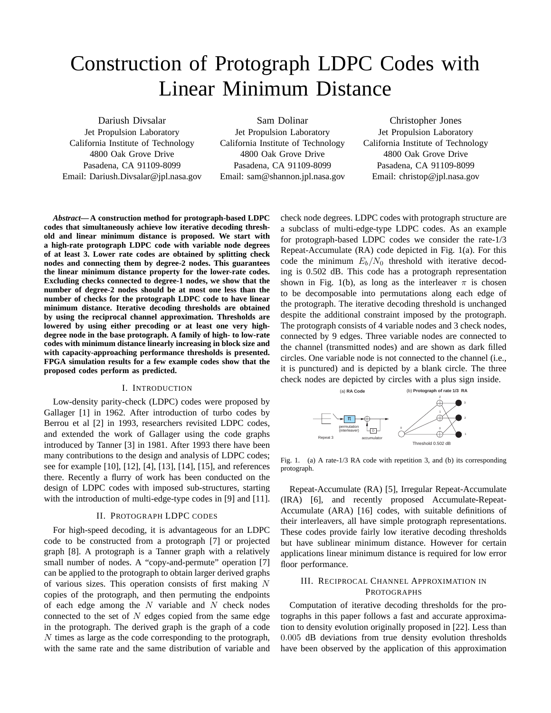# Construction of Protograph LDPC Codes with Linear Minimum Distance

Dariush Divsalar Jet Propulsion Laboratory California Institute of Technology 4800 Oak Grove Drive Pasadena, CA 91109-8099 Email: Dariush.Divsalar@jpl.nasa.gov

Sam Dolinar Jet Propulsion Laboratory California Institute of Technology 4800 Oak Grove Drive Pasadena, CA 91109-8099 Email: sam@shannon.jpl.nasa.gov

Christopher Jones Jet Propulsion Laboratory California Institute of Technology 4800 Oak Grove Drive Pasadena, CA 91109-8099 Email: christop@jpl.nasa.gov

*Abstract***— A construction method for protograph-based LDPC codes that simultaneously achieve low iterative decoding threshold and linear minimum distance is proposed. We start with a high-rate protograph LDPC code with variable node degrees of at least 3. Lower rate codes are obtained by splitting check nodes and connecting them by degree-2 nodes. This guarantees the linear minimum distance property for the lower-rate codes. Excluding checks connected to degree-1 nodes, we show that the number of degree-2 nodes should be at most one less than the number of checks for the protograph LDPC code to have linear minimum distance. Iterative decoding thresholds are obtained by using the reciprocal channel approximation. Thresholds are lowered by using either precoding or at least one very highdegree node in the base protograph. A family of high- to low-rate codes with minimum distance linearly increasing in block size and with capacity-approaching performance thresholds is presented. FPGA simulation results for a few example codes show that the proposed codes perform as predicted.**

# I. INTRODUCTION

Low-density parity-check (LDPC) codes were proposed by Gallager [1] in 1962. After introduction of turbo codes by Berrou et al [2] in 1993, researchers revisited LDPC codes, and extended the work of Gallager using the code graphs introduced by Tanner [3] in 1981. After 1993 there have been many contributions to the design and analysis of LDPC codes; see for example [10], [12], [4], [13], [14], [15], and references there. Recently a flurry of work has been conducted on the design of LDPC codes with imposed sub-structures, starting with the introduction of multi-edge-type codes in [9] and [11].

## II. PROTOGRAPH LDPC CODES

For high-speed decoding, it is advantageous for an LDPC code to be constructed from a protograph [7] or projected graph [8]. A protograph is a Tanner graph with a relatively small number of nodes. A "copy-and-permute" operation [7] can be applied to the protograph to obtain larger derived graphs of various sizes. This operation consists of first making *N* copies of the protograph, and then permuting the endpoints of each edge among the *N* variable and *N* check nodes connected to the set of *N* edges copied from the same edge in the protograph. The derived graph is the graph of a code *N* times as large as the code corresponding to the protograph, with the same rate and the same distribution of variable and check node degrees. LDPC codes with protograph structure are a subclass of multi-edge-type LDPC codes. As an example for protograph-based LDPC codes we consider the rate-1/3 Repeat-Accumulate (RA) code depicted in Fig. 1(a). For this code the minimum  $E_b/N_0$  threshold with iterative decoding is 0.502 dB. This code has a protograph representation shown in Fig. 1(b), as long as the interleaver  $\pi$  is chosen to be decomposable into permutations along each edge of the protograph. The iterative decoding threshold is unchanged despite the additional constraint imposed by the protograph. The protograph consists of 4 variable nodes and 3 check nodes, connected by 9 edges. Three variable nodes are connected to the channel (transmitted nodes) and are shown as dark filled circles. One variable node is not connected to the channel (i.e., it is punctured) and is depicted by a blank circle. The three check nodes are depicted by circles with a plus sign inside.



Fig. 1. (a) A rate-1/3 RA code with repetition 3, and (b) its corresponding protograph.

Repeat-Accumulate (RA) [5], Irregular Repeat-Accumulate (IRA) [6], and recently proposed Accumulate-Repeat-Accumulate (ARA) [16] codes, with suitable definitions of their interleavers, all have simple protograph representations. These codes provide fairly low iterative decoding thresholds but have sublinear minimum distance. However for certain applications linear minimum distance is required for low error floor performance.

# III. RECIPROCAL CHANNEL APPROXIMATION IN PROTOGRAPHS

Computation of iterative decoding thresholds for the protographs in this paper follows a fast and accurate approximation to density evolution originally proposed in [22]. Less than 0*.*005 dB deviations from true density evolution thresholds have been observed by the application of this approximation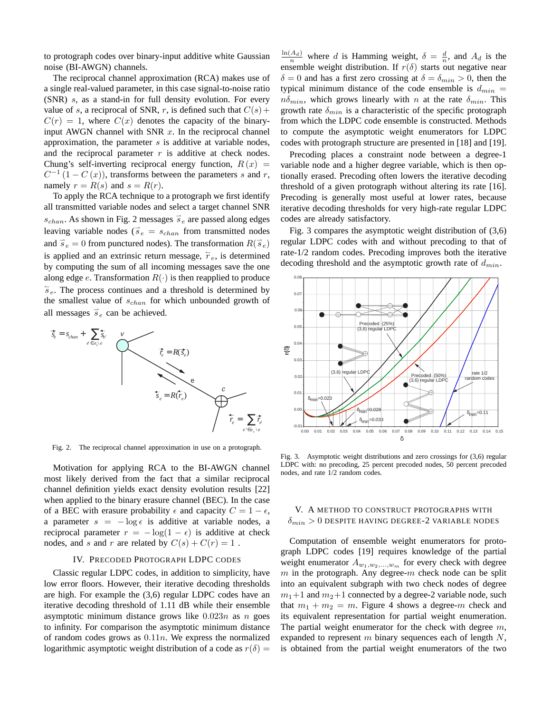to protograph codes over binary-input additive white Gaussian noise (BI-AWGN) channels.

The reciprocal channel approximation (RCA) makes use of a single real-valued parameter, in this case signal-to-noise ratio (SNR) *s*, as a stand-in for full density evolution. For every value of *s*, a reciprocal of SNR, *r*, is defined such that  $C(s)$  +  $C(r)=1$ , where  $C(x)$  denotes the capacity of the binaryinput AWGN channel with SNR *x*. In the reciprocal channel approximation, the parameter *s* is additive at variable nodes, and the reciprocal parameter  $r$  is additive at check nodes. Chung's self-inverting reciprocal energy function,  $R(x)$  =  $C^{-1}(1 - C(x))$ , transforms between the parameters *s* and *r*, namely  $r = R(s)$  and  $s = R(r)$ .

To apply the RCA technique to a protograph we first identify all transmitted variable nodes and select a target channel SNR  $s_{chan}$ . As shown in Fig. 2 messages  $\vec{s}_e$  are passed along edges leaving variable nodes ( $\vec{s}_e = s_{chan}$  from transmitted nodes and  $\vec{s}_e = 0$  from punctured nodes). The transformation  $R(\vec{s}_e)$ is applied and an extrinsic return message,  $\overleftarrow{r}_e$ , is determined by computing the sum of all incoming messages save the one along edge  $e$ . Transformation  $R(\cdot)$  is then reapplied to produce  $\overleftarrow{s}_e$ . The process continues and a threshold is determined by the smallest value of *schan* for which unbounded growth of all messages  $\vec{s}_e$  can be achieved.



Fig. 2. The reciprocal channel approximation in use on a protograph.

Motivation for applying RCA to the BI-AWGN channel most likely derived from the fact that a similar reciprocal channel definition yields exact density evolution results [22] when applied to the binary erasure channel (BEC). In the case of a BEC with erasure probability  $\epsilon$  and capacity  $C = 1 - \epsilon$ , a parameter  $s = -\log \epsilon$  is additive at variable nodes, a reciprocal parameter  $r = -\log(1 - \epsilon)$  is additive at check nodes, and *s* and *r* are related by  $C(s) + C(r) = 1$ .

# IV. PRECODED PROTOGRAPH LDPC CODES

Classic regular LDPC codes, in addition to simplicity, have low error floors. However, their iterative decoding thresholds are high. For example the (3,6) regular LDPC codes have an iterative decoding threshold of 1.11 dB while their ensemble asymptotic minimum distance grows like 0*.*023*n* as *n* goes to infinity. For comparison the asymptotic minimum distance of random codes grows as 0*.*11*n*. We express the normalized logarithmic asymptotic weight distribution of a code as  $r(\delta)$  =

 $\frac{\ln(A_d)}{n}$  where *d* is Hamming weight,  $\delta = \frac{d}{n}$ , and  $A_d$  is the ensemble weight distribution. If  $r(\delta)$  starts out negative near  $\delta = 0$  and has a first zero crossing at  $\delta = \delta_{min} > 0$ , then the typical minimum distance of the code ensemble is  $d_{min}$  =  $n\delta_{min}$ , which grows linearly with *n* at the rate  $\delta_{min}$ . This growth rate *δmin* is a characteristic of the specific protograph from which the LDPC code ensemble is constructed. Methods to compute the asymptotic weight enumerators for LDPC codes with protograph structure are presented in [18] and [19].

Precoding places a constraint node between a degree-1 variable node and a higher degree variable, which is then optionally erased. Precoding often lowers the iterative decoding threshold of a given protograph without altering its rate [16]. Precoding is generally most useful at lower rates, because iterative decoding thresholds for very high-rate regular LDPC codes are already satisfactory.

Fig. 3 compares the asymptotic weight distribution of (3,6) regular LDPC codes with and without precoding to that of rate-1/2 random codes. Precoding improves both the iterative decoding threshold and the asymptotic growth rate of *dmin*.



Fig. 3. Asymptotic weight distributions and zero crossings for (3,6) regular LDPC with: no precoding, 25 percent precoded nodes, 50 percent precoded nodes, and rate 1/2 random codes.

## V. A METHOD TO CONSTRUCT PROTOGRAPHS WITH  $\delta_{min} > 0$  DESPITE HAVING DEGREE-2 VARIABLE NODES

Computation of ensemble weight enumerators for protograph LDPC codes [19] requires knowledge of the partial weight enumerator  $A_{w_1,w_2,...,w_m}$  for every check with degree *m* in the protograph. Any degree-*m* check node can be split into an equivalent subgraph with two check nodes of degree  $m_1+1$  and  $m_2+1$  connected by a degree-2 variable node, such that  $m_1 + m_2 = m$ . Figure 4 shows a degree-*m* check and its equivalent representation for partial weight enumeration. The partial weight enumerator for the check with degree *m*, expanded to represent *m* binary sequences each of length *N*, is obtained from the partial weight enumerators of the two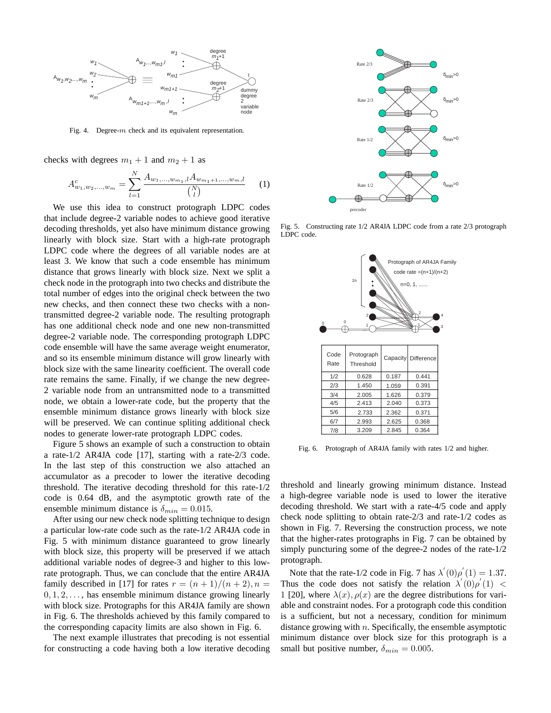

Fig. 4. Degree- $m$  check and its equivalent representation.

checks with degrees  $m_1 + 1$  and  $m_2 + 1$  as

$$
A_{w_1, w_2, \dots, w_m}^c = \sum_{l=1}^N \frac{A_{w_1, \dots, w_{m_1}, l} A_{w_{m_1+1}, \dots, w_m, l}}{\binom{N}{l}} \qquad (1)
$$

We use this idea to construct protograph LDPC codes that include degree-2 variable nodes to achieve good iterative decoding thresholds, yet also have minimum distance growing linearly with block size. Start with a high-rate protograph LDPC code where the degrees of all variable nodes are at least 3. We know that such a code ensemble has minimum distance that grows linearly with block size. Next we split a check node in the protograph into two checks and distribute the total number of edges into the original check between the two new checks, and then connect these two checks with a nontransmitted degree-2 variable node. The resulting protograph has one additional check node and one new non-transmitted degree-2 variable node. The corresponding protograph LDPC code ensemble will have the same average weight enumerator, and so its ensemble minimum distance will grow linearly with block size with the same linearity coefficient. The overall code rate remains the same. Finally, if we change the new degree-2 variable node from an untransmitted node to a transmitted node, we obtain a lower-rate code, but the property that the ensemble minimum distance grows linearly with block size will be preserved. We can continue spliting additional check nodes to generate lower-rate protograph LDPC codes.

Figure 5 shows an example of such a construction to obtain a rate-1/2 AR4JA code [17], starting with a rate-2/3 code. In the last step of this construction we also attached an accumulator as a precoder to lower the iterative decoding threshold. The iterative decoding threshold for this rate-1/2 code is 0.64 dB, and the asymptotic growth rate of the ensemble minimum distance is  $\delta_{min} = 0.015$ .

After using our new check node splitting technique to design a particular low-rate code such as the rate-1/2 AR4JA code in Fig. 5 with minimum distance guaranteed to grow linearly with block size, this property will be preserved if we attach additional variable nodes of degree-3 and higher to this lowrate protograph. Thus, we can conclude that the entire AR4JA family described in [17] for rates  $r = (n+1)/(n+2)$ ,  $n =$ 0*,* 1*,* 2*,...* , has ensemble minimum distance growing linearly with block size. Protographs for this AR4JA family are shown in Fig. 6. The thresholds achieved by this family compared to the corresponding capacity limits are also shown in Fig. 6.

The next example illustrates that precoding is not essential for constructing a code having both a low iterative decoding



Fig. 5. Constructing rate 1/2 AR4JA LDPC code from a rate 2/3 protograph LDPC code.



Fig. 6. Protograph of AR4JA family with rates 1/2 and higher.

threshold and linearly growing minimum distance. Instead a high-degree variable node is used to lower the iterative decoding threshold. We start with a rate-4/5 code and apply check node splitting to obtain rate-2/3 and rate-1/2 codes as shown in Fig. 7. Reversing the construction process, we note that the higher-rates protographs in Fig. 7 can be obtained by simply puncturing some of the degree-2 nodes of the rate-1/2 protograph.

Note that the rate-1/2 code in Fig. 7 has  $\lambda'(0)\rho'(1) = 1.37$ . Thus the code does not satisfy the relation  $\lambda'(0)\rho'(1)$  < 1 [20], where  $\lambda(x)$ ,  $\rho(x)$  are the degree distributions for variable and constraint nodes. For a protograph code this condition is a sufficient, but not a necessary, condition for minimum distance growing with *n*. Specifically, the ensemble asymptotic minimum distance over block size for this protograph is a small but positive number,  $\delta_{min} = 0.005$ .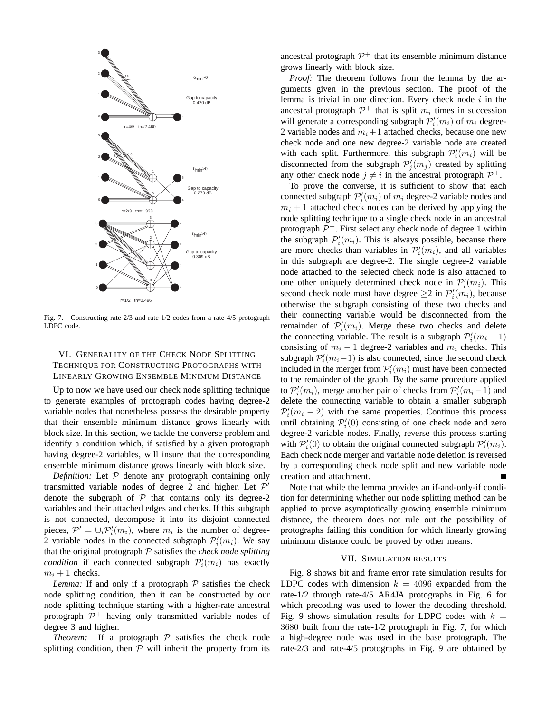

Fig. 7. Constructing rate-2/3 and rate-1/2 codes from a rate-4/5 protograph LDPC code.

# VI. GENERALITY OF THE CHECK NODE SPLITTING TECHNIQUE FOR CONSTRUCTING PROTOGRAPHS WITH LINEARLY GROWING ENSEMBLE MINIMUM DISTANCE

Up to now we have used our check node splitting technique to generate examples of protograph codes having degree-2 variable nodes that nonetheless possess the desirable property that their ensemble minimum distance grows linearly with block size. In this section, we tackle the converse problem and identify a condition which, if satisfied by a given protograph having degree-2 variables, will insure that the corresponding ensemble minimum distance grows linearly with block size.

*Definition:* Let  $P$  denote any protograph containing only transmitted variable nodes of degree 2 and higher. Let  $\mathcal{P}'$ denote the subgraph of  $P$  that contains only its degree-2 variables and their attached edges and checks. If this subgraph is not connected, decompose it into its disjoint connected pieces,  $\mathcal{P}' = \cup_i \mathcal{P}'_i(m_i)$ , where  $m_i$  is the number of degree-2 variable nodes in the connected subgraph  $P'_i(m_i)$ . We say that the original protograph P satisfies the *check node splitting condition* if each connected subgraph  $P'_i(m_i)$  has exactly  $m_i + 1$  checks.

*Lemma:* If and only if a protograph  $P$  satisfies the check node splitting condition, then it can be constructed by our node splitting technique starting with a higher-rate ancestral protograph  $\mathcal{P}^+$  having only transmitted variable nodes of degree 3 and higher.

*Theorem:* If a protograph  $P$  satisfies the check node splitting condition, then  $P$  will inherit the property from its ancestral protograph  $\mathcal{P}^+$  that its ensemble minimum distance grows linearly with block size.

*Proof:* The theorem follows from the lemma by the arguments given in the previous section. The proof of the lemma is trivial in one direction. Every check node *i* in the ancestral protograph  $\mathcal{P}^+$  that is split  $m_i$  times in succession will generate a corresponding subgraph  $P'_i(m_i)$  of  $m_i$  degree-2 variable nodes and  $m_i+1$  attached checks, because one new check node and one new degree-2 variable node are created with each split. Furthermore, this subgraph  $\mathcal{P}'_i(m_i)$  will be disconnected from the subgraph  $\mathcal{P}'_j(m_j)$  created by splitting any other check node  $j \neq i$  in the ancestral protograph  $\mathcal{P}^+$ .

To prove the converse, it is sufficient to show that each connected subgraph  $P'_i(m_i)$  of  $m_i$  degree-2 variable nodes and  $m<sub>i</sub> + 1$  attached check nodes can be derived by applying the node splitting technique to a single check node in an ancestral protograph  $\mathcal{P}^+$ . First select any check node of degree 1 within the subgraph  $P'_i(m_i)$ . This is always possible, because there are more checks than variables in  $\mathcal{P}'_i(m_i)$ , and all variables in this subgraph are degree-2. The single degree-2 variable node attached to the selected check node is also attached to one other uniquely determined check node in  $\mathcal{P}'_i(m_i)$ . This second check node must have degree  $\geq 2$  in  $\mathcal{P}'_i(m_i)$ , because otherwise the subgraph consisting of these two checks and their connecting variable would be disconnected from the remainder of  $P'_i(m_i)$ . Merge these two checks and delete the connecting variable. The result is a subgraph  $\mathcal{P}'_i(m_i-1)$ consisting of  $m_i - 1$  degree-2 variables and  $m_i$  checks. This subgraph  $\mathcal{P}'_i(m_i-1)$  is also connected, since the second check included in the merger from  $P_i'(m_i)$  must have been connected to the remainder of the graph. By the same procedure applied to  $\mathcal{P}'_i(m_i)$ , merge another pair of checks from  $\mathcal{P}'_i(m_i-1)$  and delete the connecting variable to obtain a smaller subgraph  $P'_{i}(m_{i} - 2)$  with the same properties. Continue this process until obtaining  $P'_i(0)$  consisting of one check node and zero degree-2 variable nodes. Finally, reverse this process starting with  $\mathcal{P}'_i(0)$  to obtain the original connected subgraph  $\mathcal{P}'_i(m_i)$ . Each check node merger and variable node deletion is reversed by a corresponding check node split and new variable node creation and attachment.

Note that while the lemma provides an if-and-only-if condition for determining whether our node splitting method can be applied to prove asymptotically growing ensemble minimum distance, the theorem does not rule out the possibility of protographs failing this condition for which linearly growing minimum distance could be proved by other means.

## VII. SIMULATION RESULTS

Fig. 8 shows bit and frame error rate simulation results for LDPC codes with dimension  $k = 4096$  expanded from the rate-1/2 through rate-4/5 AR4JA protographs in Fig. 6 for which precoding was used to lower the decoding threshold. Fig. 9 shows simulation results for LDPC codes with  $k =$ 3680 built from the rate-1/2 protograph in Fig. 7, for which a high-degree node was used in the base protograph. The rate-2/3 and rate-4/5 protographs in Fig. 9 are obtained by